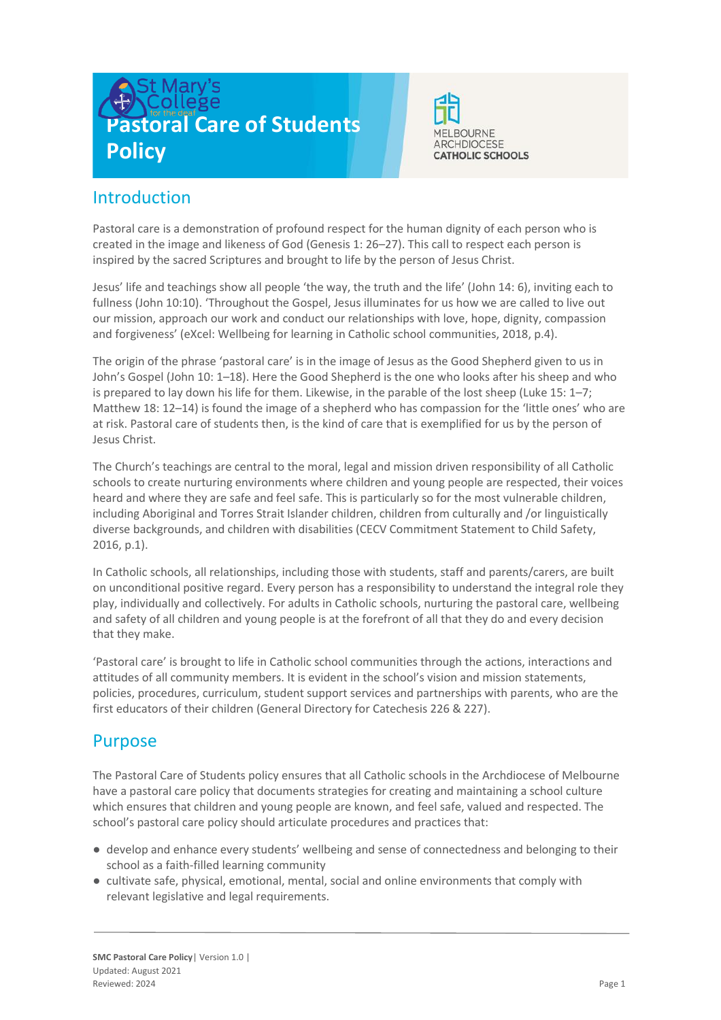



# **Introduction**

Pastoral care is a demonstration of profound respect for the human dignity of each person who is created in the image and likeness of God (Genesis 1: 26–27). This call to respect each person is inspired by the sacred Scriptures and brought to life by the person of Jesus Christ.

Jesus' life and teachings show all people 'the way, the truth and the life' (John 14: 6), inviting each to fullness (John 10:10). 'Throughout the Gospel, Jesus illuminates for us how we are called to live out our mission, approach our work and conduct our relationships with love, hope, dignity, compassion and forgiveness' (eXcel: Wellbeing for learning in Catholic school communities, 2018, p.4).

The origin of the phrase 'pastoral care' is in the image of Jesus as the Good Shepherd given to us in John's Gospel (John 10: 1–18). Here the Good Shepherd is the one who looks after his sheep and who is prepared to lay down his life for them. Likewise, in the parable of the lost sheep (Luke 15: 1–7; Matthew 18: 12–14) is found the image of a shepherd who has compassion for the 'little ones' who are at risk. Pastoral care of students then, is the kind of care that is exemplified for us by the person of Jesus Christ.

The Church's teachings are central to the moral, legal and mission driven responsibility of all Catholic schools to create nurturing environments where children and young people are respected, their voices heard and where they are safe and feel safe. This is particularly so for the most vulnerable children, including Aboriginal and Torres Strait Islander children, children from culturally and /or linguistically diverse backgrounds, and children with disabilities (CECV Commitment Statement to Child Safety, 2016, p.1).

In Catholic schools, all relationships, including those with students, staff and parents/carers, are built on unconditional positive regard. Every person has a responsibility to understand the integral role they play, individually and collectively. For adults in Catholic schools, nurturing the pastoral care, wellbeing and safety of all children and young people is at the forefront of all that they do and every decision that they make.

'Pastoral care' is brought to life in Catholic school communities through the actions, interactions and attitudes of all community members. It is evident in the school's vision and mission statements, policies, procedures, curriculum, student support services and partnerships with parents, who are the first educators of their children (General Directory for Catechesis 226 & 227).

## Purpose

The Pastoral Care of Students policy ensures that all Catholic schools in the Archdiocese of Melbourne have a pastoral care policy that documents strategies for creating and maintaining a school culture which ensures that children and young people are known, and feel safe, valued and respected. The school's pastoral care policy should articulate procedures and practices that:

- develop and enhance every students' wellbeing and sense of connectedness and belonging to their school as a faith-filled learning community
- cultivate safe, physical, emotional, mental, social and online environments that comply with relevant legislative and legal requirements.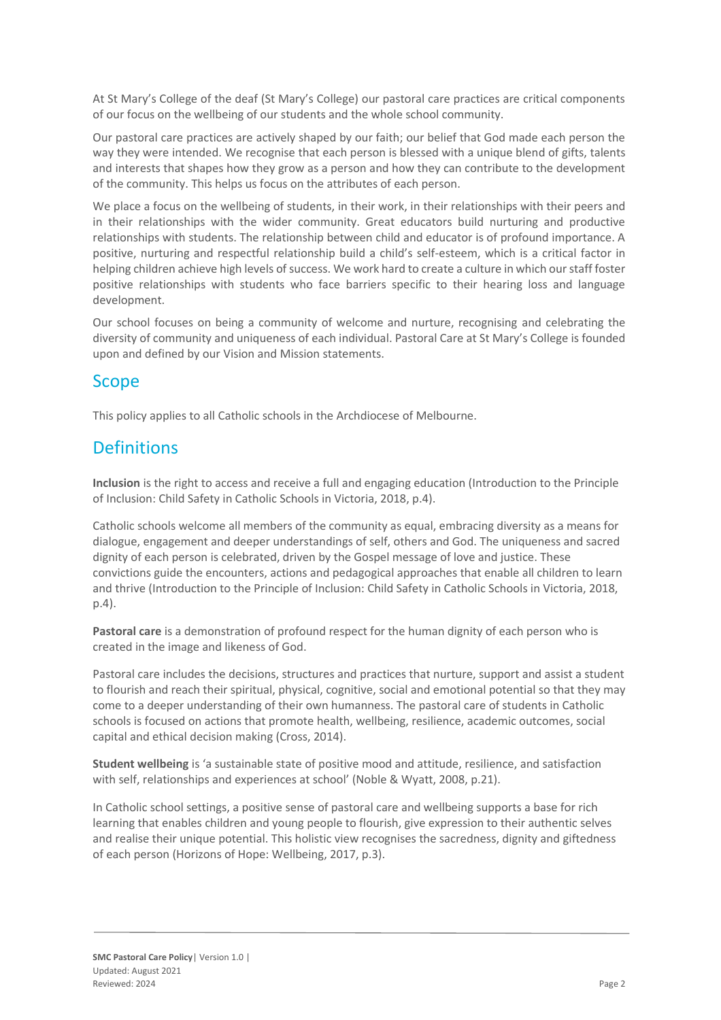At St Mary's College of the deaf (St Mary's College) our pastoral care practices are critical components of our focus on the wellbeing of our students and the whole school community.

Our pastoral care practices are actively shaped by our faith; our belief that God made each person the way they were intended. We recognise that each person is blessed with a unique blend of gifts, talents and interests that shapes how they grow as a person and how they can contribute to the development of the community. This helps us focus on the attributes of each person.

We place a focus on the wellbeing of students, in their work, in their relationships with their peers and in their relationships with the wider community. Great educators build nurturing and productive relationships with students. The relationship between child and educator is of profound importance. A positive, nurturing and respectful relationship build a child's self-esteem, which is a critical factor in helping children achieve high levels of success. We work hard to create a culture in which our staff foster positive relationships with students who face barriers specific to their hearing loss and language development.

Our school focuses on being a community of welcome and nurture, recognising and celebrating the diversity of community and uniqueness of each individual. Pastoral Care at St Mary's College is founded upon and defined by our Vision and Mission statements.

## Scope

This policy applies to all Catholic schools in the Archdiocese of Melbourne.

# **Definitions**

**Inclusion** is the right to access and receive a full and engaging education (Introduction to the Principle of Inclusion: Child Safety in Catholic Schools in Victoria, 2018, p.4).

Catholic schools welcome all members of the community as equal, embracing diversity as a means for dialogue, engagement and deeper understandings of self, others and God. The uniqueness and sacred dignity of each person is celebrated, driven by the Gospel message of love and justice. These convictions guide the encounters, actions and pedagogical approaches that enable all children to learn and thrive (Introduction to the Principle of Inclusion: Child Safety in Catholic Schools in Victoria, 2018, p.4).

**Pastoral care** is a demonstration of profound respect for the human dignity of each person who is created in the image and likeness of God.

Pastoral care includes the decisions, structures and practices that nurture, support and assist a student to flourish and reach their spiritual, physical, cognitive, social and emotional potential so that they may come to a deeper understanding of their own humanness. The pastoral care of students in Catholic schools is focused on actions that promote health, wellbeing, resilience, academic outcomes, social capital and ethical decision making (Cross, 2014).

**Student wellbeing** is 'a sustainable state of positive mood and attitude, resilience, and satisfaction with self, relationships and experiences at school' (Noble & Wyatt, 2008, p.21).

In Catholic school settings, a positive sense of pastoral care and wellbeing supports a base for rich learning that enables children and young people to flourish, give expression to their authentic selves and realise their unique potential. This holistic view recognises the sacredness, dignity and giftedness of each person (Horizons of Hope: Wellbeing, 2017, p.3).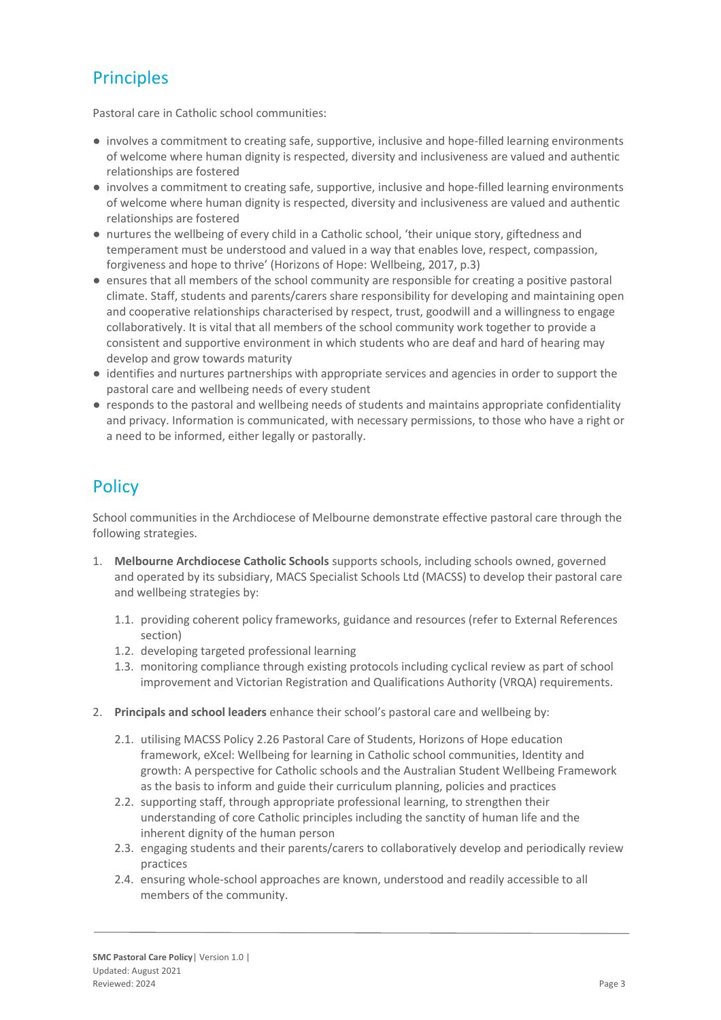# **Principles**

Pastoral care in Catholic school communities:

- involves a commitment to creating safe, supportive, inclusive and hope-filled learning environments of welcome where human dignity is respected, diversity and inclusiveness are valued and authentic relationships are fostered
- involves a commitment to creating safe, supportive, inclusive and hope-filled learning environments of welcome where human dignity is respected, diversity and inclusiveness are valued and authentic relationships are fostered
- nurtures the wellbeing of every child in a Catholic school, 'their unique story, giftedness and temperament must be understood and valued in a way that enables love, respect, compassion, forgiveness and hope to thrive' (Horizons of Hope: Wellbeing, 2017, p.3)
- ensures that all members of the school community are responsible for creating a positive pastoral climate. Staff, students and parents/carers share responsibility for developing and maintaining open and cooperative relationships characterised by respect, trust, goodwill and a willingness to engage collaboratively. It is vital that all members of the school community work together to provide a consistent and supportive environment in which students who are deaf and hard of hearing may develop and grow towards maturity
- identifies and nurtures partnerships with appropriate services and agencies in order to support the pastoral care and wellbeing needs of every student
- responds to the pastoral and wellbeing needs of students and maintains appropriate confidentiality and privacy. Information is communicated, with necessary permissions, to those who have a right or a need to be informed, either legally or pastorally.

# **Policy**

School communities in the Archdiocese of Melbourne demonstrate effective pastoral care through the following strategies.

- 1. **Melbourne Archdiocese Catholic Schools** supports schools, including schools owned, governed and operated by its subsidiary, MACS Specialist Schools Ltd (MACSS) to develop their pastoral care and wellbeing strategies by:
	- 1.1. providing coherent policy frameworks, guidance and resources (refer to External References section)
	- 1.2. developing targeted professional learning
	- 1.3. monitoring compliance through existing protocols including cyclical review as part of school improvement and Victorian Registration and Qualifications Authority (VRQA) requirements.
- 2. **Principals and school leaders** enhance their school's pastoral care and wellbeing by:
	- 2.1. utilising MACSS Policy 2.26 Pastoral Care of Students, Horizons of Hope education framework, eXcel: Wellbeing for learning in Catholic school communities, Identity and growth: A perspective for Catholic schools and the Australian Student Wellbeing Framework as the basis to inform and guide their curriculum planning, policies and practices
	- 2.2. supporting staff, through appropriate professional learning, to strengthen their understanding of core Catholic principles including the sanctity of human life and the inherent dignity of the human person
	- 2.3. engaging students and their parents/carers to collaboratively develop and periodically review practices
	- 2.4. ensuring whole-school approaches are known, understood and readily accessible to all members of the community.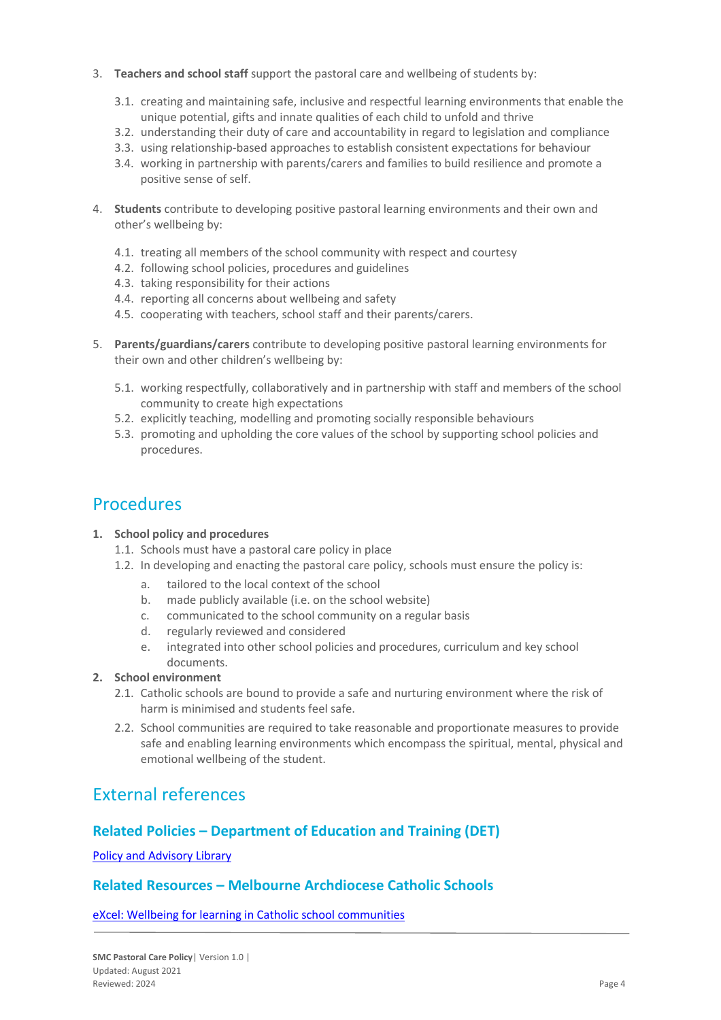- 3. **Teachers and school staff** support the pastoral care and wellbeing of students by:
	- 3.1. creating and maintaining safe, inclusive and respectful learning environments that enable the unique potential, gifts and innate qualities of each child to unfold and thrive
	- 3.2. understanding their duty of care and accountability in regard to legislation and compliance
	- 3.3. using relationship-based approaches to establish consistent expectations for behaviour
	- 3.4. working in partnership with parents/carers and families to build resilience and promote a positive sense of self.
- 4. **Students** contribute to developing positive pastoral learning environments and their own and other's wellbeing by:
	- 4.1. treating all members of the school community with respect and courtesy
	- 4.2. following school policies, procedures and guidelines
	- 4.3. taking responsibility for their actions
	- 4.4. reporting all concerns about wellbeing and safety
	- 4.5. cooperating with teachers, school staff and their parents/carers.
- 5. **Parents/guardians/carers** contribute to developing positive pastoral learning environments for their own and other children's wellbeing by:
	- 5.1. working respectfully, collaboratively and in partnership with staff and members of the school community to create high expectations
	- 5.2. explicitly teaching, modelling and promoting socially responsible behaviours
	- 5.3. promoting and upholding the core values of the school by supporting school policies and procedures.

## **Procedures**

#### **1. School policy and procedures**

- 1.1. Schools must have a pastoral care policy in place
- 1.2. In developing and enacting the pastoral care policy, schools must ensure the policy is:
	- a. tailored to the local context of the school
	- b. made publicly available (i.e. on the school website)
	- c. communicated to the school community on a regular basis
	- d. regularly reviewed and considered
	- e. integrated into other school policies and procedures, curriculum and key school documents.

#### **2. School environment**

- 2.1. Catholic schools are bound to provide a safe and nurturing environment where the risk of harm is minimised and students feel safe.
- 2.2. School communities are required to take reasonable and proportionate measures to provide safe and enabling learning environments which encompass the spiritual, mental, physical and emotional wellbeing of the student.

### External references

#### **Related Policies – Department of Education and Training (DET)**

[Policy and Advisory Library](https://www2.education.vic.gov.au/pal)

#### **Related Resources – Melbourne Archdiocese Catholic Schools**

[eXcel: Wellbeing for learning in Catholic school communities](https://www.cem.edu.au/Our-Schools/Curriculum-Learning-Programs/Student-Wellbeing/eXcel.aspx)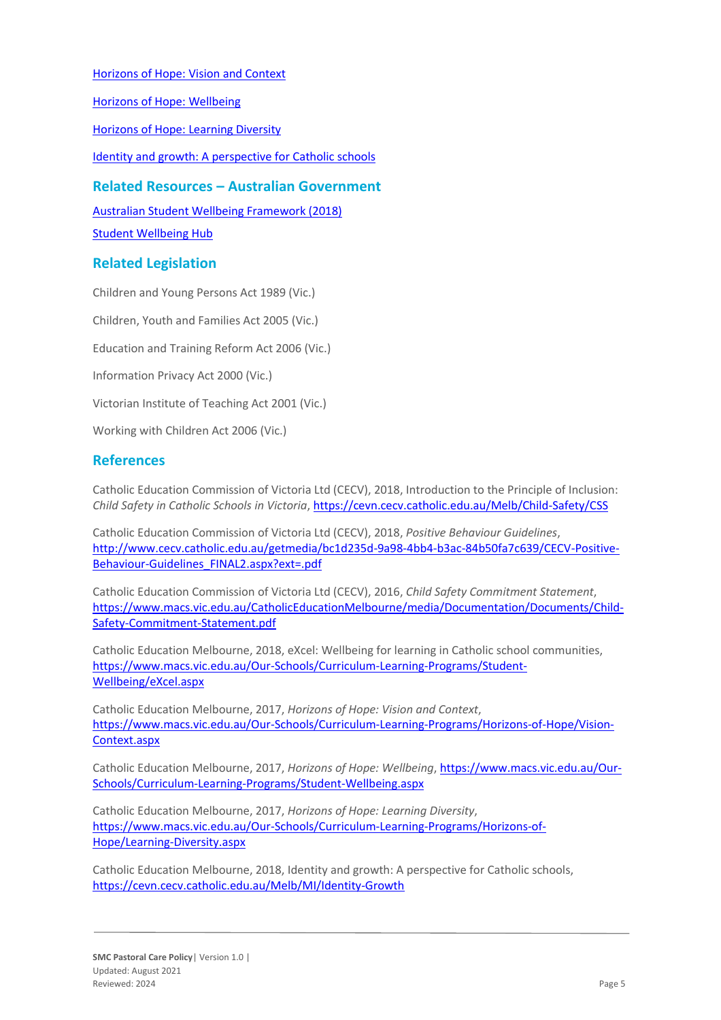[Horizons of Hope: Vision and Context](https://www.cem.edu.au/Our-Schools/Curriculum-Learning-Programs/Horizons-of-Hope/Vision-Context.aspx)

[Horizons of Hope: Wellbeing](https://www.cem.edu.au/Our-Schools/Curriculum-Learning-Programs/Student-Wellbeing.aspx)

[Horizons of Hope: Learning Diversity](https://www.cem.edu.au/Our-Schools/Curriculum-Learning-Programs/Horizons-of-Hope/Learning-Diversity.aspx)

[Identity and growth: A perspective for Catholic schools](https://cevn.cecv.catholic.edu.au/Melb/CI/Identity-Growth)

### **Related Resources – Australian Government**

[Australian Student Wellbeing Framework \(2018\)](https://www.studentwellbeinghub.edu.au/docs/default-source/aswf_booklet-pdf.pdf)

[Student Wellbeing Hub](https://www.studentwellbeinghub.edu.au/)

### **Related Legislation**

Children and Young Persons Act 1989 (Vic.) Children, Youth and Families Act 2005 (Vic.) Education and Training Reform Act 2006 (Vic.) Information Privacy Act 2000 (Vic.) Victorian Institute of Teaching Act 2001 (Vic.) Working with Children Act 2006 (Vic.)

### **References**

Catholic Education Commission of Victoria Ltd (CECV), 2018, Introduction to the Principle of Inclusion: *Child Safety in Catholic Schools in Victoria*[, https://cevn.cecv.catholic.edu.au/Melb/Child-Safety/CSS](https://cevn.cecv.catholic.edu.au/Melb/Child-Safety/CSS)

Catholic Education Commission of Victoria Ltd (CECV), 2018, *Positive Behaviour Guidelines*, [http://www.cecv.catholic.edu.au/getmedia/bc1d235d-9a98-4bb4-b3ac-84b50fa7c639/CECV-Positive-](http://www.cecv.catholic.edu.au/getmedia/bc1d235d-9a98-4bb4-b3ac-84b50fa7c639/CECV-Positive-Behaviour-Guidelines_FINAL2.aspx?ext=.pdf)[Behaviour-Guidelines\\_FINAL2.aspx?ext=.pdf](http://www.cecv.catholic.edu.au/getmedia/bc1d235d-9a98-4bb4-b3ac-84b50fa7c639/CECV-Positive-Behaviour-Guidelines_FINAL2.aspx?ext=.pdf)

Catholic Education Commission of Victoria Ltd (CECV), 2016, *Child Safety Commitment Statement*, [https://www.macs.vic.edu.au/CatholicEducationMelbourne/media/Documentation/Documents/Child-](https://www.macs.vic.edu.au/CatholicEducationMelbourne/media/Documentation/Documents/Child-Safety-Commitment-Statement.pdf)[Safety-Commitment-Statement.pdf](https://www.macs.vic.edu.au/CatholicEducationMelbourne/media/Documentation/Documents/Child-Safety-Commitment-Statement.pdf)

Catholic Education Melbourne, 2018, eXcel: Wellbeing for learning in Catholic school communities, [https://www.macs.vic.edu.au/Our-Schools/Curriculum-Learning-Programs/Student-](https://www.macs.vic.edu.au/Our-Schools/Curriculum-Learning-Programs/Student-Wellbeing/eXcel.aspx)[Wellbeing/eXcel.aspx](https://www.macs.vic.edu.au/Our-Schools/Curriculum-Learning-Programs/Student-Wellbeing/eXcel.aspx)

Catholic Education Melbourne, 2017, *Horizons of Hope: Vision and Context*, [https://www.macs.vic.edu.au/Our-Schools/Curriculum-Learning-Programs/Horizons-of-Hope/Vision-](https://www.macs.vic.edu.au/Our-Schools/Curriculum-Learning-Programs/Horizons-of-Hope/Vision-Context.aspx)[Context.aspx](https://www.macs.vic.edu.au/Our-Schools/Curriculum-Learning-Programs/Horizons-of-Hope/Vision-Context.aspx)

Catholic Education Melbourne, 2017, *Horizons of Hope: Wellbeing*, [https://www.macs.vic.edu.au/Our-](https://www.macs.vic.edu.au/Our-Schools/Curriculum-Learning-Programs/Student-Wellbeing.aspx)[Schools/Curriculum-Learning-Programs/Student-Wellbeing.aspx](https://www.macs.vic.edu.au/Our-Schools/Curriculum-Learning-Programs/Student-Wellbeing.aspx)

Catholic Education Melbourne, 2017, *Horizons of Hope: Learning Diversity*, [https://www.macs.vic.edu.au/Our-Schools/Curriculum-Learning-Programs/Horizons-of-](https://www.macs.vic.edu.au/Our-Schools/Curriculum-Learning-Programs/Horizons-of-Hope/Learning-Diversity.aspx)[Hope/Learning-Diversity.aspx](https://www.macs.vic.edu.au/Our-Schools/Curriculum-Learning-Programs/Horizons-of-Hope/Learning-Diversity.aspx)

Catholic Education Melbourne, 2018, Identity and growth: A perspective for Catholic schools, <https://cevn.cecv.catholic.edu.au/Melb/MI/Identity-Growth>